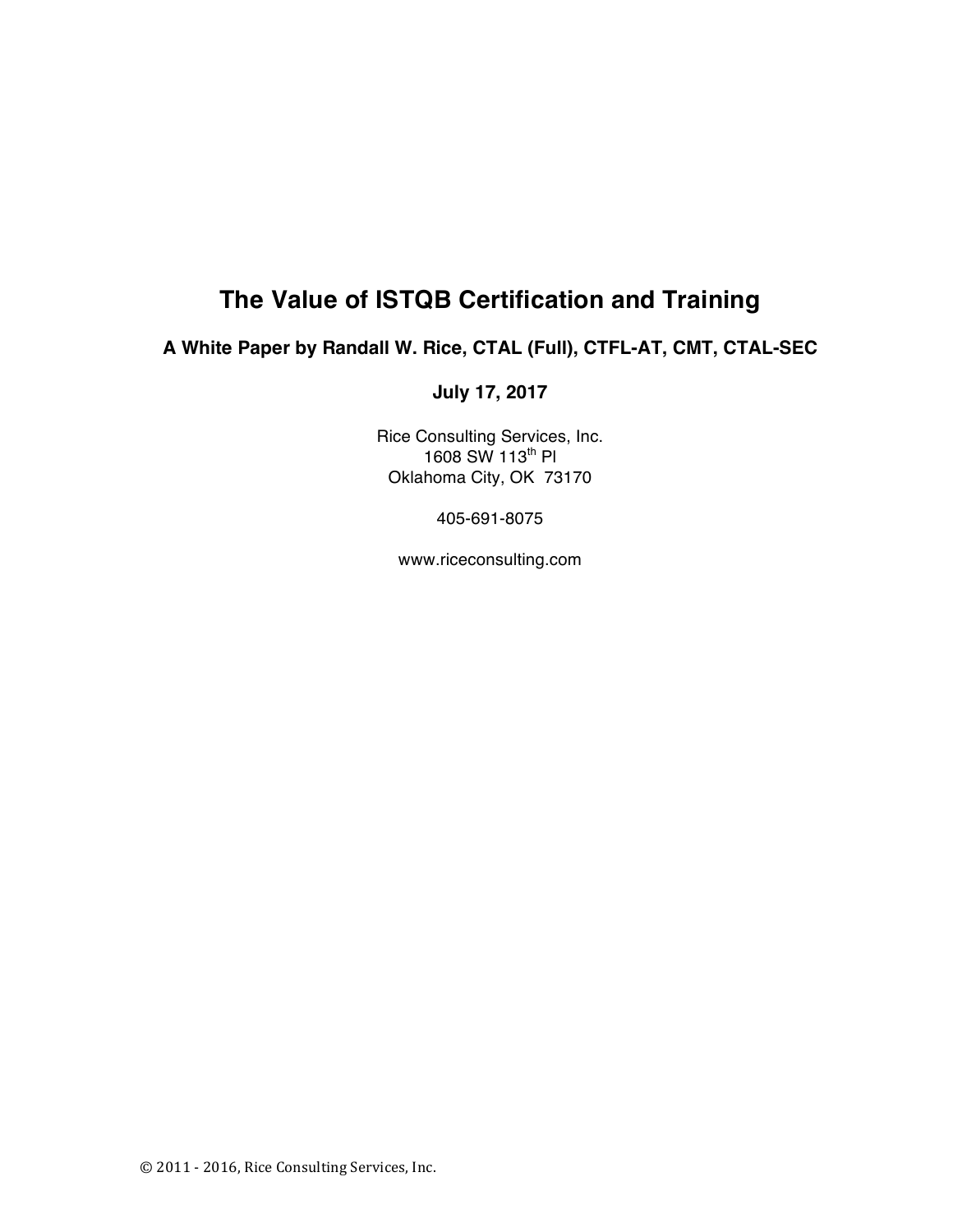# **The Value of ISTQB Certification and Training**

# **A White Paper by Randall W. Rice, CTAL (Full), CTFL-AT, CMT, CTAL-SEC**

# **July 17, 2017**

Rice Consulting Services, Inc.  $1608$  SW  $113^{th}$  PI Oklahoma City, OK 73170

405-691-8075

www.riceconsulting.com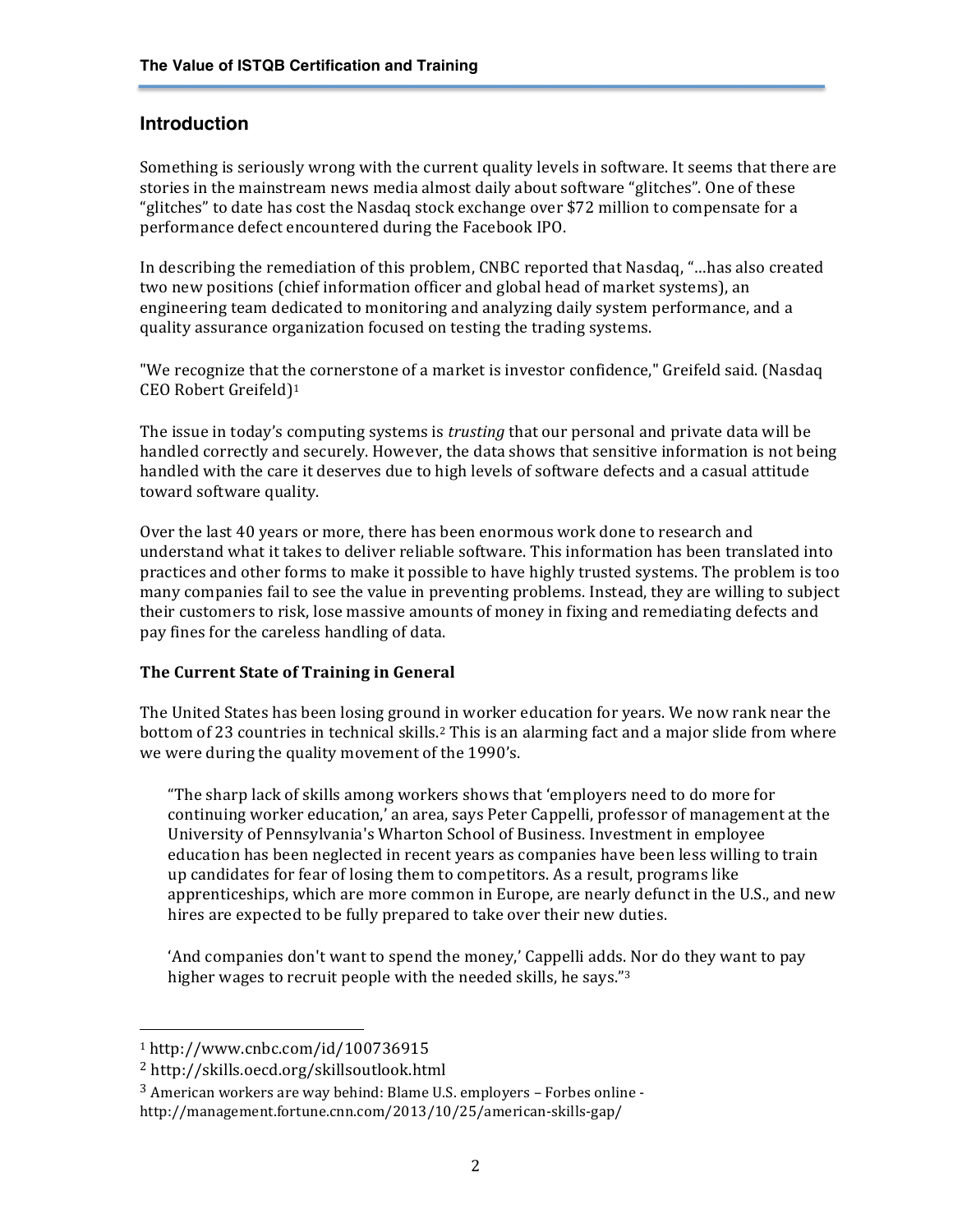## **Introduction**

Something is seriously wrong with the current quality levels in software. It seems that there are stories in the mainstream news media almost daily about software "glitches". One of these "glitches" to date has cost the Nasdaq stock exchange over  $$72$  million to compensate for a performance defect encountered during the Facebook IPO.

In describing the remediation of this problem, CNBC reported that Nasdaq, "...has also created two new positions (chief information officer and global head of market systems), an engineering team dedicated to monitoring and analyzing daily system performance, and a quality assurance organization focused on testing the trading systems.

"We recognize that the cornerstone of a market is investor confidence," Greifeld said. (Nasdaq CEO Robert Greifeld)1

The issue in today's computing systems is *trusting* that our personal and private data will be handled correctly and securely. However, the data shows that sensitive information is not being handled with the care it deserves due to high levels of software defects and a casual attitude toward software quality.

Over the last 40 years or more, there has been enormous work done to research and understand what it takes to deliver reliable software. This information has been translated into practices and other forms to make it possible to have highly trusted systems. The problem is too many companies fail to see the value in preventing problems. Instead, they are willing to subject their customers to risk, lose massive amounts of money in fixing and remediating defects and pay fines for the careless handling of data.

#### **The Current State of Training in General**

The United States has been losing ground in worker education for years. We now rank near the bottom of 23 countries in technical skills.<sup>2</sup> This is an alarming fact and a major slide from where we were during the quality movement of the 1990's.

"The sharp lack of skills among workers shows that 'employers need to do more for continuing worker education,' an area, says Peter Cappelli, professor of management at the University of Pennsylvania's Wharton School of Business. Investment in employee education has been neglected in recent years as companies have been less willing to train up candidates for fear of losing them to competitors. As a result, programs like apprenticeships, which are more common in Europe, are nearly defunct in the U.S., and new hires are expected to be fully prepared to take over their new duties.

'And companies don't want to spend the money,' Cappelli adds. Nor do they want to pay higher wages to recruit people with the needed skills, he says." $3$ 

<sup>1</sup> http://www.cnbc.com/id/100736915

<sup>2</sup> http://skills.oecd.org/skillsoutlook.html

 $3$  American workers are way behind: Blame U.S. employers – Forbes online -

http://management.fortune.cnn.com/2013/10/25/american-skills-gap/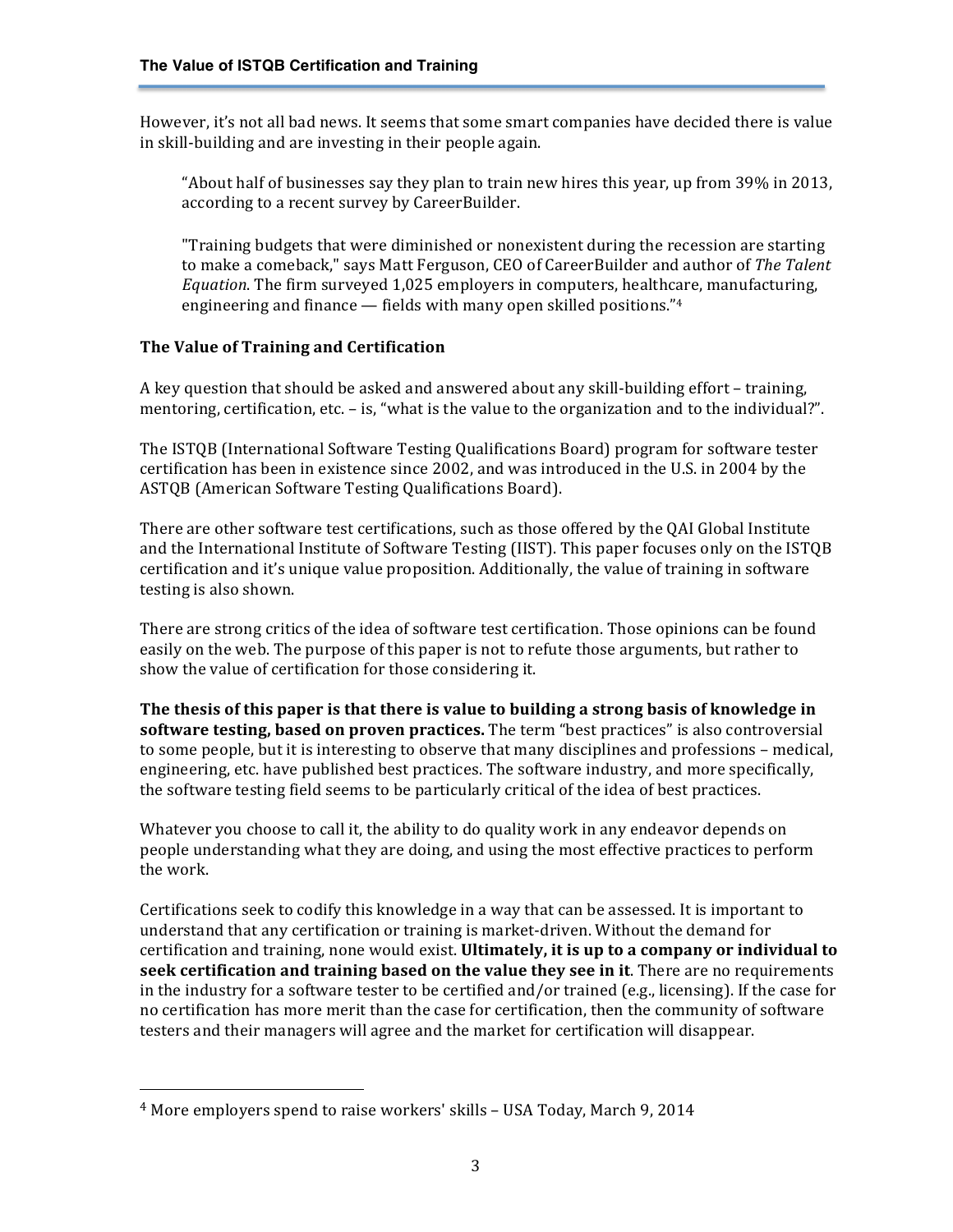However, it's not all bad news. It seems that some smart companies have decided there is value in skill-building and are investing in their people again.

"About half of businesses say they plan to train new hires this year, up from  $39\%$  in 2013, according to a recent survey by CareerBuilder.

"Training budgets that were diminished or nonexistent during the recession are starting to make a comeback," says Matt Ferguson, CEO of CareerBuilder and author of The Talent *Equation*. The firm surveyed 1,025 employers in computers, healthcare, manufacturing, engineering and finance  $-$  fields with many open skilled positions." $4$ 

## **The Value of Training and Certification**

A key question that should be asked and answered about any skill-building effort – training, mentoring, certification, etc. - is, "what is the value to the organization and to the individual?".

The ISTQB (International Software Testing Qualifications Board) program for software tester certification has been in existence since 2002, and was introduced in the U.S. in 2004 by the ASTQB (American Software Testing Qualifications Board).

There are other software test certifications, such as those offered by the QAI Global Institute and the International Institute of Software Testing (IIST). This paper focuses only on the ISTQB certification and it's unique value proposition. Additionally, the value of training in software testing is also shown.

There are strong critics of the idea of software test certification. Those opinions can be found easily on the web. The purpose of this paper is not to refute those arguments, but rather to show the value of certification for those considering it.

The thesis of this paper is that there is value to building a strong basis of knowledge in **software testing, based on proven practices.** The term "best practices" is also controversial to some people, but it is interesting to observe that many disciplines and professions – medical, engineering, etc. have published best practices. The software industry, and more specifically, the software testing field seems to be particularly critical of the idea of best practices.

Whatever you choose to call it, the ability to do quality work in any endeavor depends on people understanding what they are doing, and using the most effective practices to perform the work.

Certifications seek to codify this knowledge in a way that can be assessed. It is important to understand that any certification or training is market-driven. Without the demand for certification and training, none would exist. Ultimately, it is up to a company or individual to **seek certification and training based on the value they see in it**. There are no requirements in the industry for a software tester to be certified and/or trained  $(e.g.,$  licensing). If the case for no certification has more merit than the case for certification, then the community of software testers and their managers will agree and the market for certification will disappear.

 $4$  More employers spend to raise workers' skills – USA Today, March 9, 2014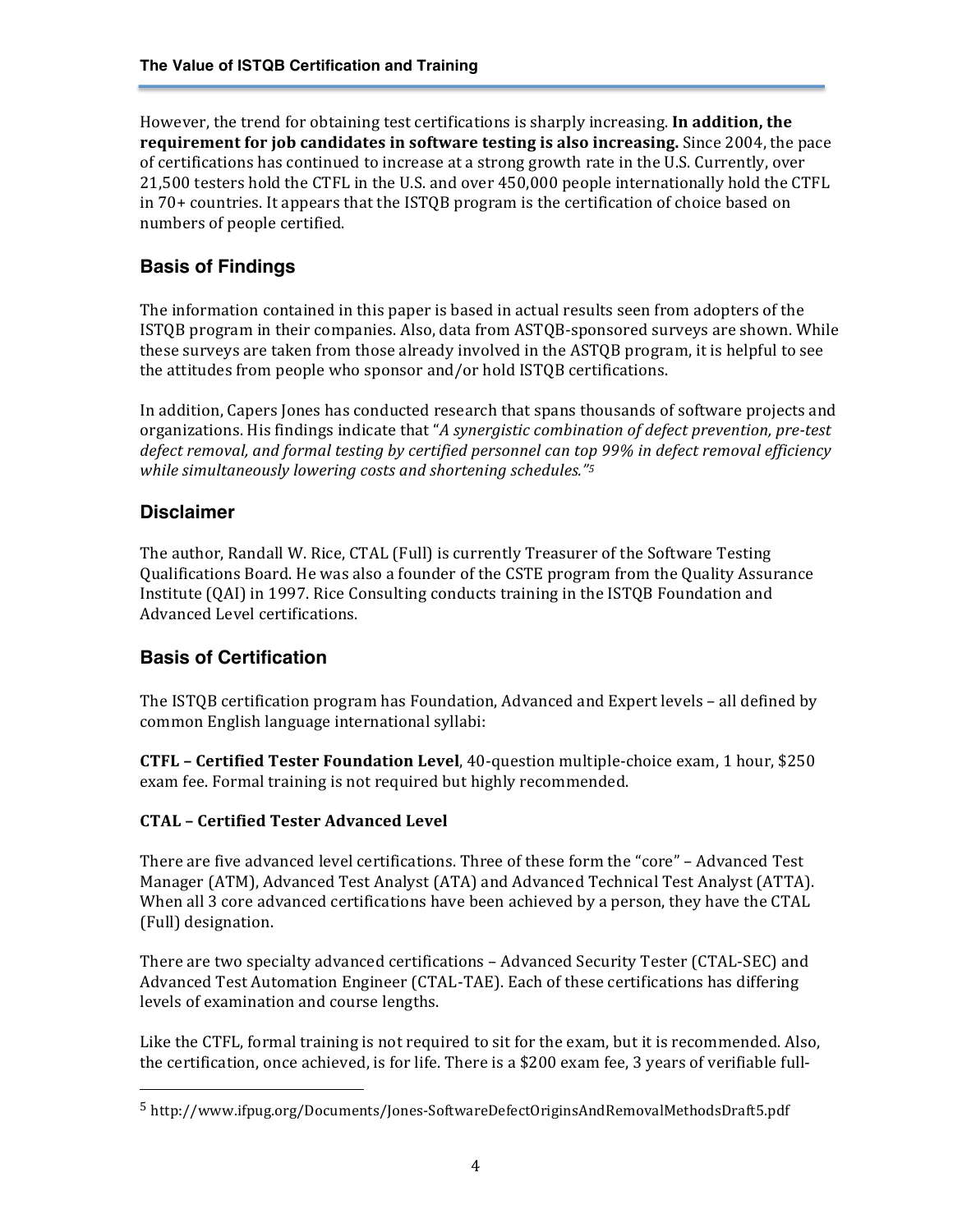However, the trend for obtaining test certifications is sharply increasing. **In addition, the requirement for job candidates in software testing is also increasing.** Since 2004, the pace of certifications has continued to increase at a strong growth rate in the U.S. Currently, over 21,500 testers hold the CTFL in the U.S. and over 450,000 people internationally hold the CTFL in  $70+$  countries. It appears that the ISTQB program is the certification of choice based on numbers of people certified.

# **Basis of Findings**

The information contained in this paper is based in actual results seen from adopters of the ISTQB program in their companies. Also, data from ASTQB-sponsored surveys are shown. While these surveys are taken from those already involved in the ASTQB program, it is helpful to see the attitudes from people who sponsor and/or hold ISTQB certifications.

In addition, Capers Jones has conducted research that spans thousands of software projects and organizations. His findings indicate that "*A synergistic combination of defect prevention, pre-test* defect removal, and formal testing by certified personnel can top 99% in defect removal efficiency while simultaneously lowering costs and shortening schedules."<sup>5</sup>

## **Disclaimer**

The author, Randall W. Rice, CTAL (Full) is currently Treasurer of the Software Testing Qualifications Board. He was also a founder of the CSTE program from the Quality Assurance Institute  $(QAI)$  in 1997. Rice Consulting conducts training in the ISTQB Foundation and Advanced Level certifications.

## **Basis of Certification**

The ISTQB certification program has Foundation, Advanced and Expert levels – all defined by common English language international syllabi:

**CTFL** - **Certified Tester Foundation Level**, 40-question multiple-choice exam, 1 hour, \$250 exam fee. Formal training is not required but highly recommended.

#### **CTAL – Certified Tester Advanced Level**

 

There are five advanced level certifications. Three of these form the "core" – Advanced Test Manager (ATM), Advanced Test Analyst (ATA) and Advanced Technical Test Analyst (ATTA). When all 3 core advanced certifications have been achieved by a person, they have the CTAL (Full) designation.

There are two specialty advanced certifications – Advanced Security Tester (CTAL-SEC) and Advanced Test Automation Engineer (CTAL-TAE). Each of these certifications has differing levels of examination and course lengths.

Like the CTFL, formal training is not required to sit for the exam, but it is recommended. Also, the certification, once achieved, is for life. There is a \$200 exam fee, 3 years of verifiable full-

<sup>5</sup> http://www.ifpug.org/Documents/Jones-SoftwareDefectOriginsAndRemovalMethodsDraft5.pdf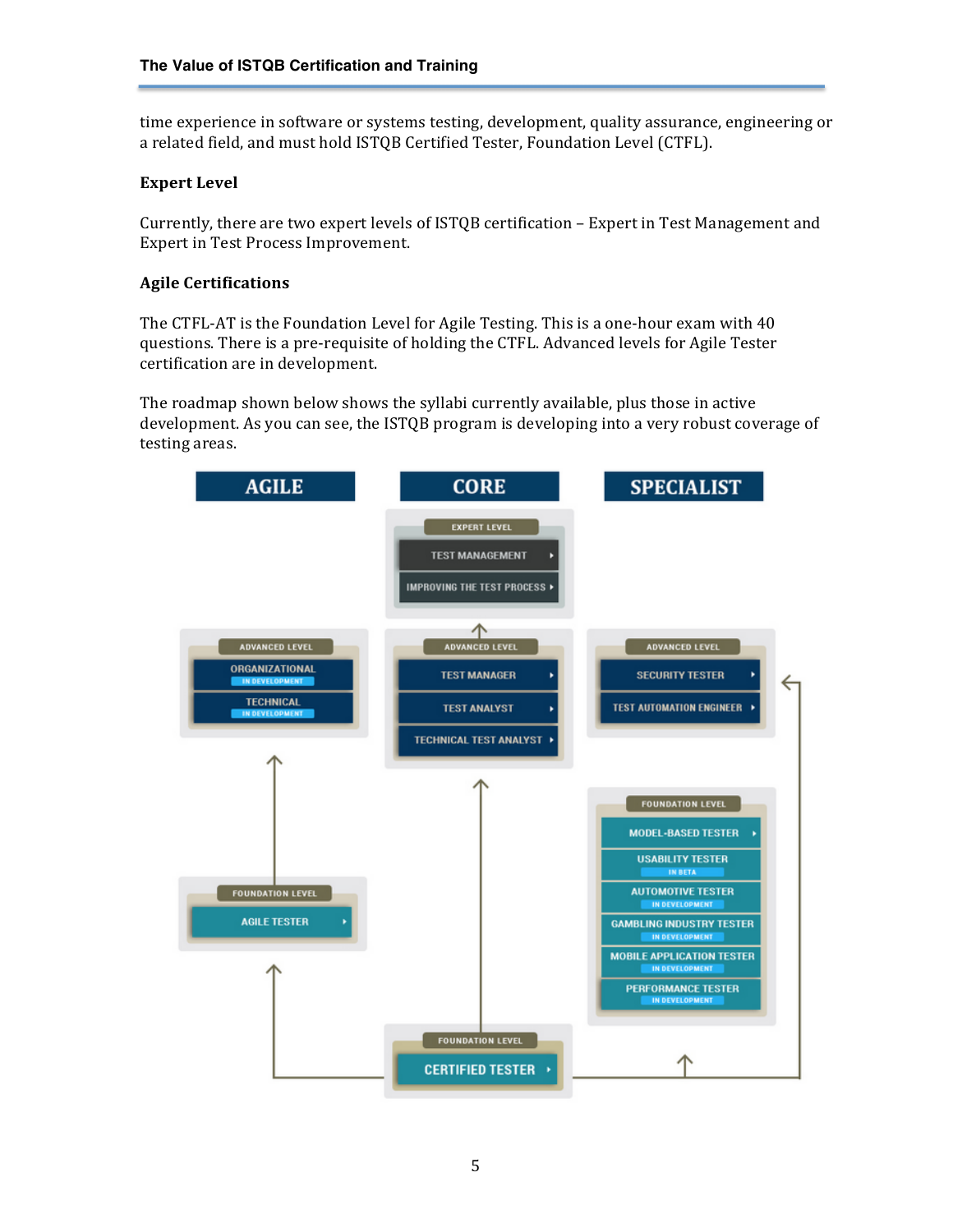time experience in software or systems testing, development, quality assurance, engineering or a related field, and must hold ISTQB Certified Tester, Foundation Level (CTFL).

#### **Expert Level**

Currently, there are two expert levels of ISTQB certification - Expert in Test Management and Expert in Test Process Improvement.

#### **Agile Certifications**

The CTFL-AT is the Foundation Level for Agile Testing. This is a one-hour exam with 40 questions. There is a pre-requisite of holding the CTFL. Advanced levels for Agile Tester certification are in development.

The roadmap shown below shows the syllabi currently available, plus those in active development. As you can see, the ISTQB program is developing into a very robust coverage of testing areas.

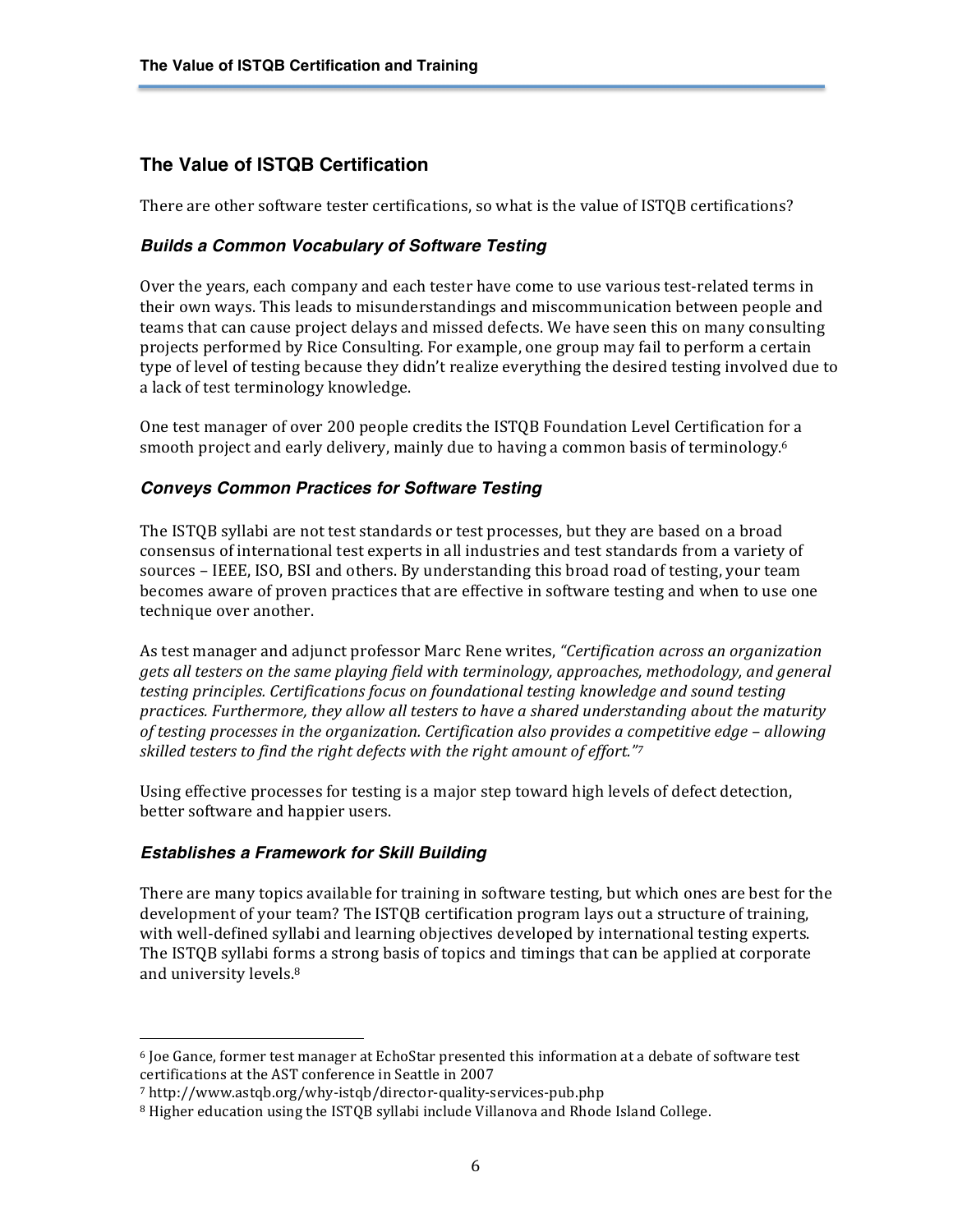## **The Value of ISTQB Certification**

There are other software tester certifications, so what is the value of ISTQB certifications?

#### *Builds a Common Vocabulary of Software Testing*

Over the years, each company and each tester have come to use various test-related terms in their own ways. This leads to misunderstandings and miscommunication between people and teams that can cause project delays and missed defects. We have seen this on many consulting projects performed by Rice Consulting. For example, one group may fail to perform a certain type of level of testing because they didn't realize everything the desired testing involved due to a lack of test terminology knowledge.

One test manager of over 200 people credits the ISTQB Foundation Level Certification for a smooth project and early delivery, mainly due to having a common basis of terminology.<sup>6</sup>

#### *Conveys Common Practices for Software Testing*

The ISTQB syllabi are not test standards or test processes, but they are based on a broad consensus of international test experts in all industries and test standards from a variety of sources – IEEE, ISO, BSI and others. By understanding this broad road of testing, your team becomes aware of proven practices that are effective in software testing and when to use one technique over another.

As test manager and adjunct professor Marc Rene writes, *"Certification across an organization gets all testers* on the same playing field with terminology, approaches, methodology, and general *testing principles. Certifications focus on foundational testing knowledge and sound testing* practices. Furthermore, they allow all testers to have a shared understanding about the maturity *of testing processes in the organization. Certification also provides a competitive edge – allowing skilled testers to find the right defects with the right amount of effort."7* 

Using effective processes for testing is a major step toward high levels of defect detection, better software and happier users.

#### *Establishes a Framework for Skill Building*

 

There are many topics available for training in software testing, but which ones are best for the development of your team? The ISTQB certification program lays out a structure of training, with well-defined syllabi and learning objectives developed by international testing experts. The ISTQB syllabi forms a strong basis of topics and timings that can be applied at corporate and university levels.<sup>8</sup>

 $6$  Joe Gance, former test manager at EchoStar presented this information at a debate of software test certifications at the AST conference in Seattle in 2007

<sup>7</sup> http://www.astqb.org/why-istqb/director-quality-services-pub.php

<sup>&</sup>lt;sup>8</sup> Higher education using the ISTQB syllabi include Villanova and Rhode Island College.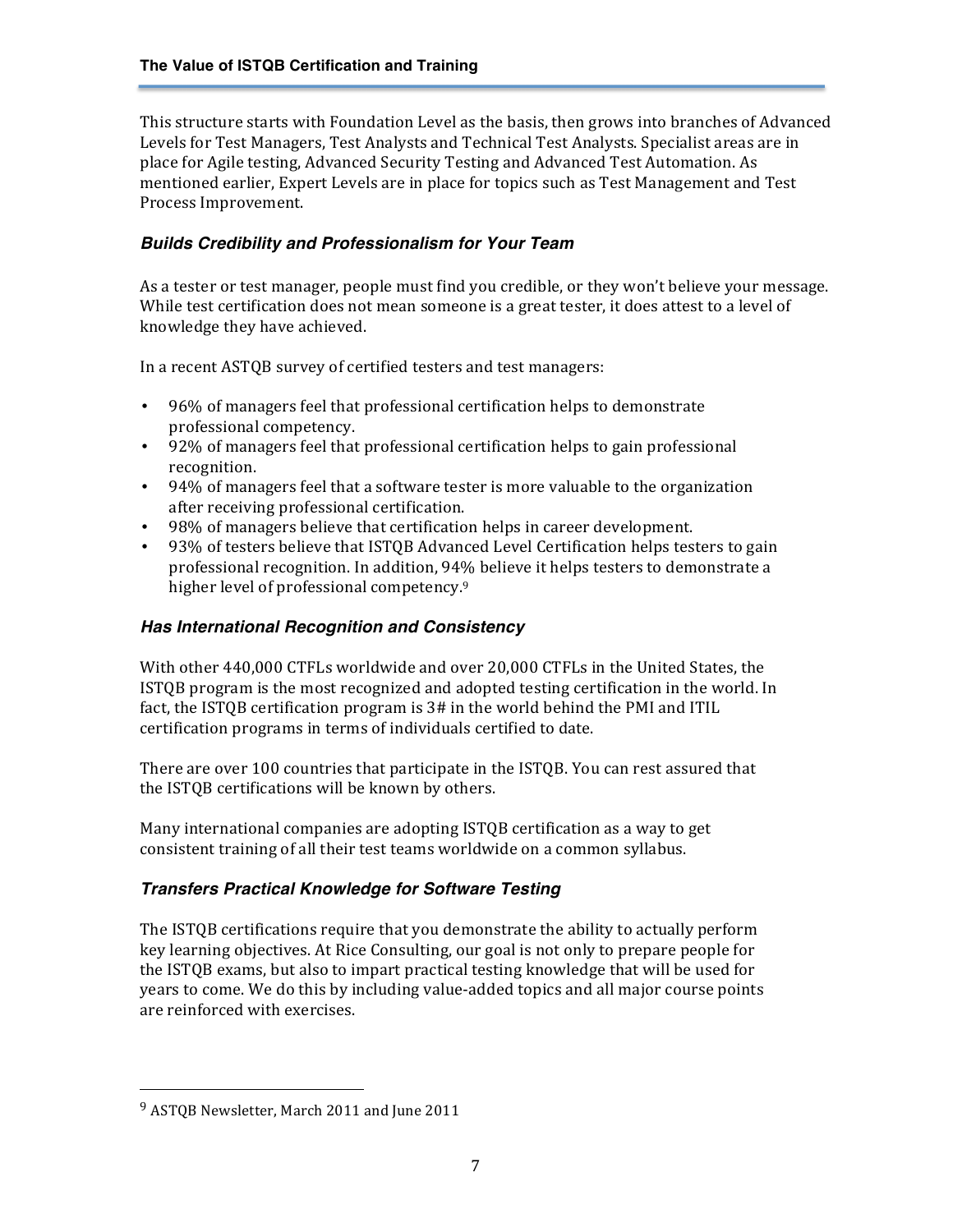This structure starts with Foundation Level as the basis, then grows into branches of Advanced Levels for Test Managers, Test Analysts and Technical Test Analysts. Specialist areas are in place for Agile testing, Advanced Security Testing and Advanced Test Automation. As mentioned earlier, Expert Levels are in place for topics such as Test Management and Test Process Improvement.

#### *Builds Credibility and Professionalism for Your Team*

As a tester or test manager, people must find you credible, or they won't believe your message. While test certification does not mean someone is a great tester, it does attest to a level of knowledge they have achieved.

In a recent ASTQB survey of certified testers and test managers:

- 96% of managers feel that professional certification helps to demonstrate professional competency.
- 92% of managers feel that professional certification helps to gain professional recognition.
- 94% of managers feel that a software tester is more valuable to the organization after receiving professional certification.
- 98% of managers believe that certification helps in career development.
- 93% of testers believe that ISTQB Advanced Level Certification helps testers to gain professional recognition. In addition, 94% believe it helps testers to demonstrate a higher level of professional competency.<sup>9</sup>

#### *Has International Recognition and Consistency*

With other 440,000 CTFLs worldwide and over 20,000 CTFLs in the United States, the ISTQB program is the most recognized and adopted testing certification in the world. In fact, the ISTQB certification program is 3# in the world behind the PMI and ITIL certification programs in terms of individuals certified to date.

There are over 100 countries that participate in the ISTQB. You can rest assured that the ISTOB certifications will be known by others.

Many international companies are adopting ISTQB certification as a way to get consistent training of all their test teams worldwide on a common syllabus.

## *Transfers Practical Knowledge for Software Testing*

The ISTQB certifications require that you demonstrate the ability to actually perform key learning objectives. At Rice Consulting, our goal is not only to prepare people for the ISTQB exams, but also to impart practical testing knowledge that will be used for years to come. We do this by including value-added topics and all major course points are reinforced with exercises.

<sup>&</sup>lt;sup>9</sup> ASTQB Newsletter, March 2011 and June 2011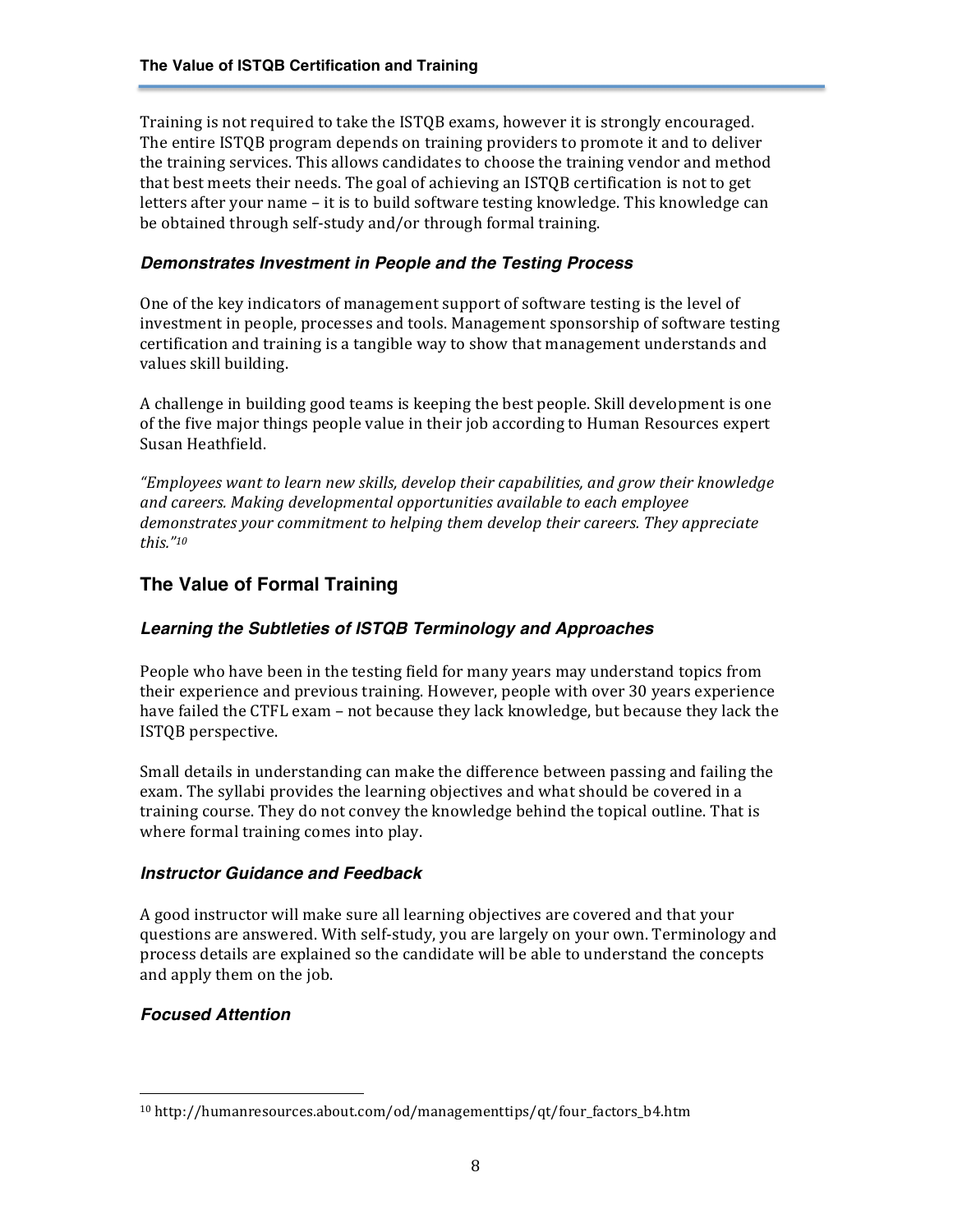Training is not required to take the ISTQB exams, however it is strongly encouraged. The entire ISTQB program depends on training providers to promote it and to deliver the training services. This allows candidates to choose the training vendor and method that best meets their needs. The goal of achieving an ISTOB certification is not to get letters after your name – it is to build software testing knowledge. This knowledge can be obtained through self-study and/or through formal training.

#### *Demonstrates Investment in People and the Testing Process*

One of the key indicators of management support of software testing is the level of investment in people, processes and tools. Management sponsorship of software testing certification and training is a tangible way to show that management understands and values skill building.

A challenge in building good teams is keeping the best people. Skill development is one of the five major things people value in their job according to Human Resources expert Susan Heathfield.

"Employees want to learn new skills, develop their capabilities, and grow their knowledge and careers. Making developmental opportunities available to each employee demonstrates your commitment to helping them develop their careers. They appreciate *this."10*

## **The Value of Formal Training**

#### *Learning the Subtleties of ISTQB Terminology and Approaches*

People who have been in the testing field for many years may understand topics from their experience and previous training. However, people with over 30 years experience have failed the CTFL exam - not because they lack knowledge, but because they lack the ISTQB perspective.

Small details in understanding can make the difference between passing and failing the exam. The syllabi provides the learning objectives and what should be covered in a training course. They do not convey the knowledge behind the topical outline. That is where formal training comes into play.

#### *Instructor Guidance and Feedback*

A good instructor will make sure all learning objectives are covered and that your questions are answered. With self-study, you are largely on your own. Terminology and process details are explained so the candidate will be able to understand the concepts and apply them on the job.

#### *Focused Attention*

<sup>10</sup> http://humanresources.about.com/od/managementtips/qt/four\_factors\_b4.htm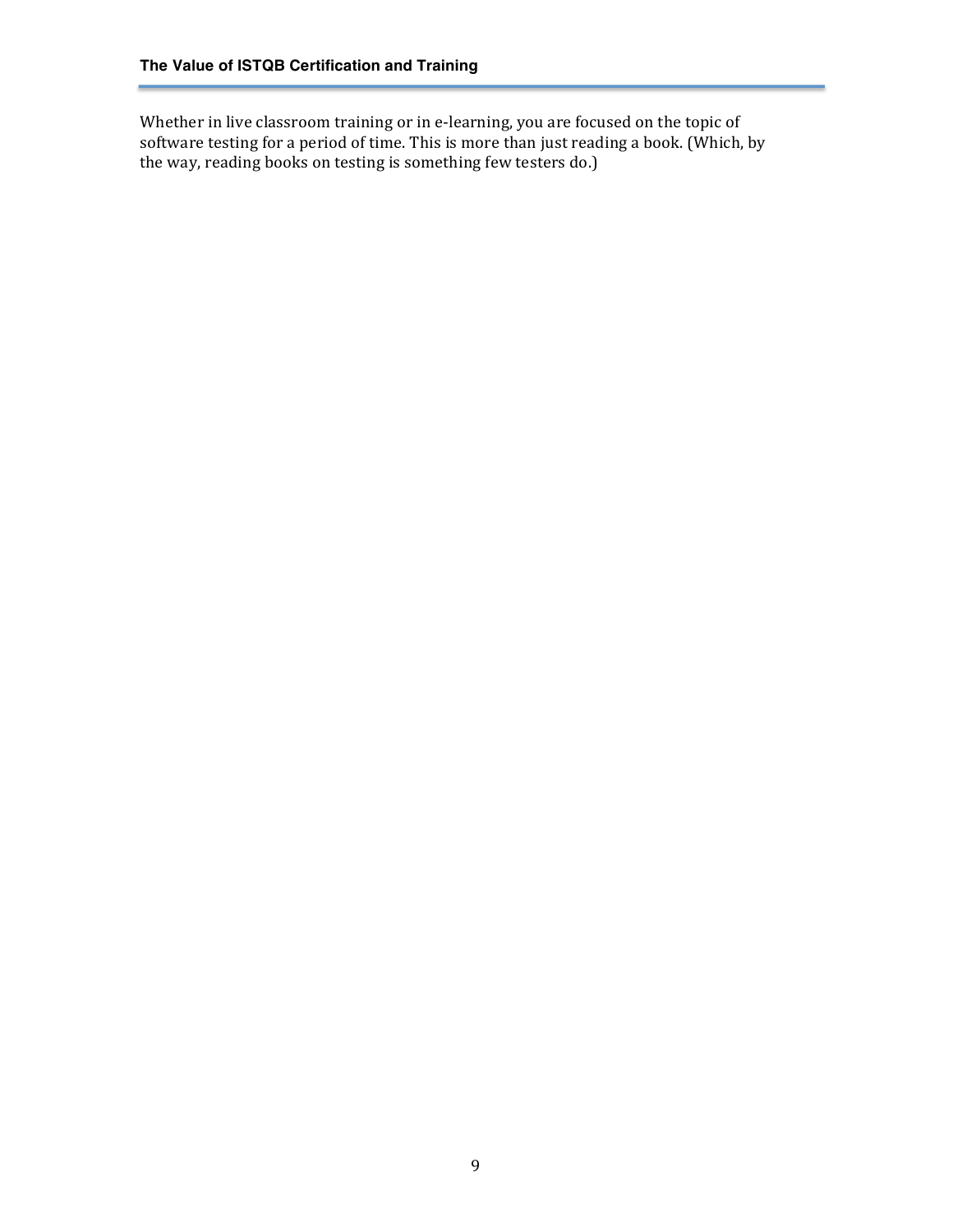Whether in live classroom training or in e-learning, you are focused on the topic of software testing for a period of time. This is more than just reading a book. (Which, by the way, reading books on testing is something few testers do.)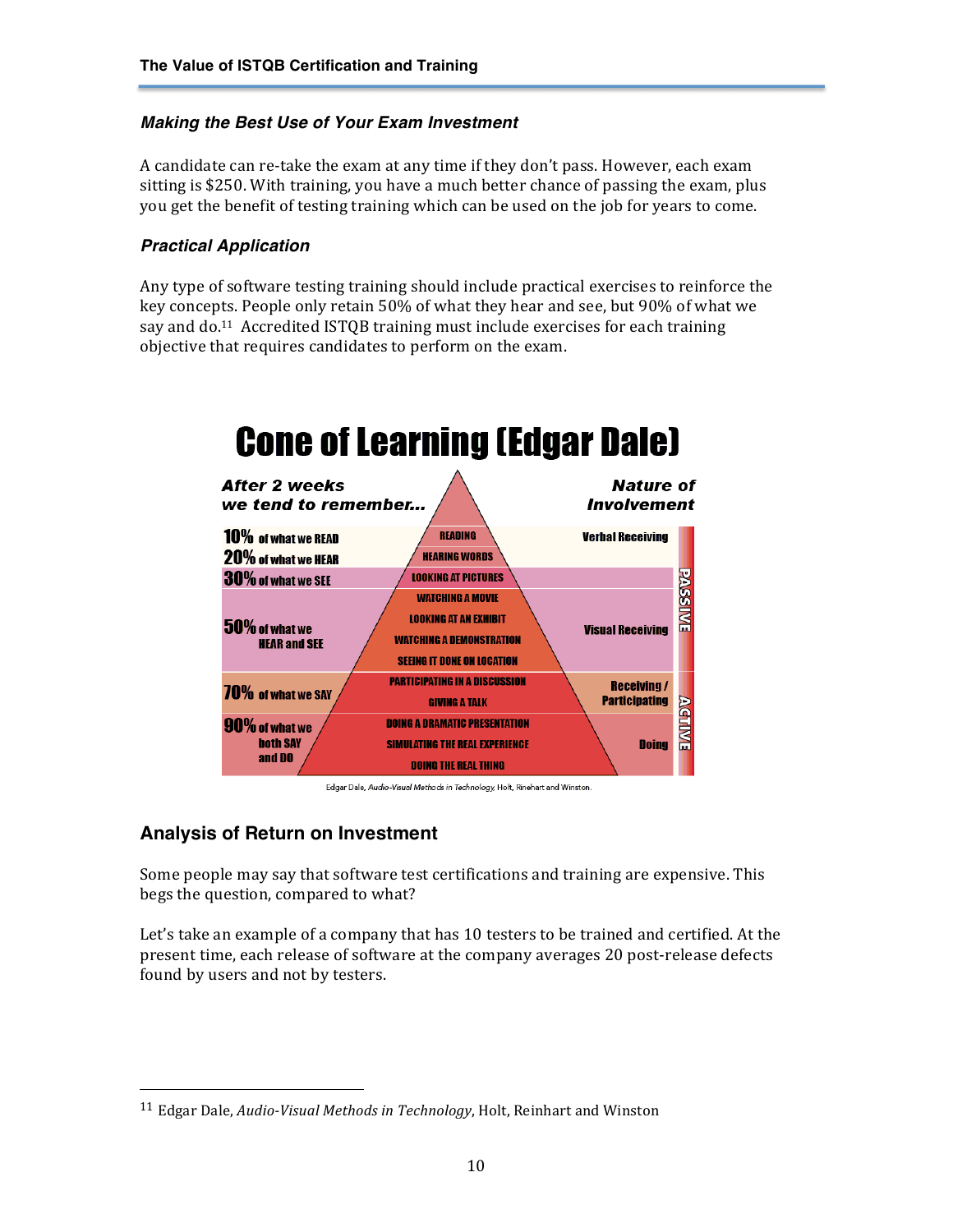#### *Making the Best Use of Your Exam Investment*

A candidate can re-take the exam at any time if they don't pass. However, each exam sitting is \$250. With training, you have a much better chance of passing the exam, plus you get the benefit of testing training which can be used on the job for years to come.

#### *Practical Application*

Any type of software testing training should include practical exercises to reinforce the key concepts. People only retain 50% of what they hear and see, but 90% of what we say and do.<sup>11</sup> Accredited ISTQB training must include exercises for each training objective that requires candidates to perform on the exam.



Edgar Dale, Audio-Visual Methods in Technology, Holt, Rinehart and Winston.

# **Analysis of Return on Investment**

 

Some people may say that software test certifications and training are expensive. This begs the question, compared to what?

Let's take an example of a company that has 10 testers to be trained and certified. At the present time, each release of software at the company averages 20 post-release defects found by users and not by testers.

<sup>&</sup>lt;sup>11</sup> Edgar Dale, *Audio-Visual Methods in Technology*, Holt, Reinhart and Winston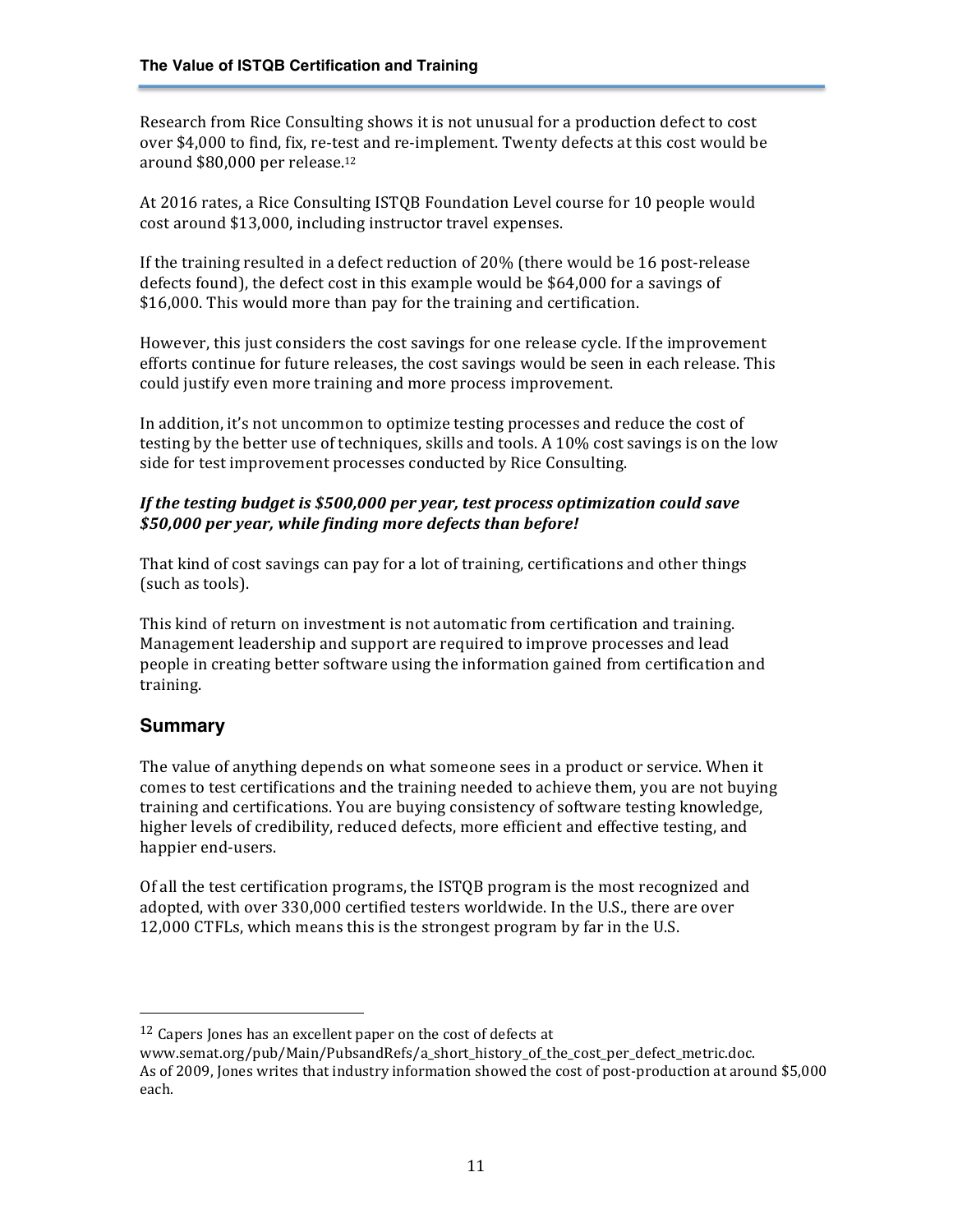Research from Rice Consulting shows it is not unusual for a production defect to cost over \$4,000 to find, fix, re-test and re-implement. Twenty defects at this cost would be around \$80,000 per release.<sup>12</sup>

At 2016 rates, a Rice Consulting ISTQB Foundation Level course for 10 people would cost around \$13,000, including instructor travel expenses.

If the training resulted in a defect reduction of  $20\%$  (there would be 16 post-release defects found), the defect cost in this example would be \$64,000 for a savings of \$16,000. This would more than pay for the training and certification.

However, this just considers the cost savings for one release cycle. If the improvement efforts continue for future releases, the cost savings would be seen in each release. This could justify even more training and more process improvement.

In addition, it's not uncommon to optimize testing processes and reduce the cost of testing by the better use of techniques, skills and tools. A  $10\%$  cost savings is on the low side for test improvement processes conducted by Rice Consulting.

#### *If* the testing budget is \$500,000 per year, test process optimization could save *\$50,000 per year, while finding more defects than before!*

That kind of cost savings can pay for a lot of training, certifications and other things (such as tools).

This kind of return on investment is not automatic from certification and training. Management leadership and support are required to improve processes and lead people in creating better software using the information gained from certification and training.

## **Summary**

The value of anything depends on what someone sees in a product or service. When it comes to test certifications and the training needed to achieve them, you are not buying training and certifications. You are buying consistency of software testing knowledge, higher levels of credibility, reduced defects, more efficient and effective testing, and happier end-users.

Of all the test certification programs, the ISTQB program is the most recognized and adopted, with over 330,000 certified testers worldwide. In the U.S., there are over 12,000 CTFLs, which means this is the strongest program by far in the U.S.

 $12$  Capers Jones has an excellent paper on the cost of defects at

www.semat.org/pub/Main/PubsandRefs/a\_short\_history\_of\_the\_cost\_per\_defect\_metric.doc. As of 2009, Jones writes that industry information showed the cost of post-production at around \$5,000 each.